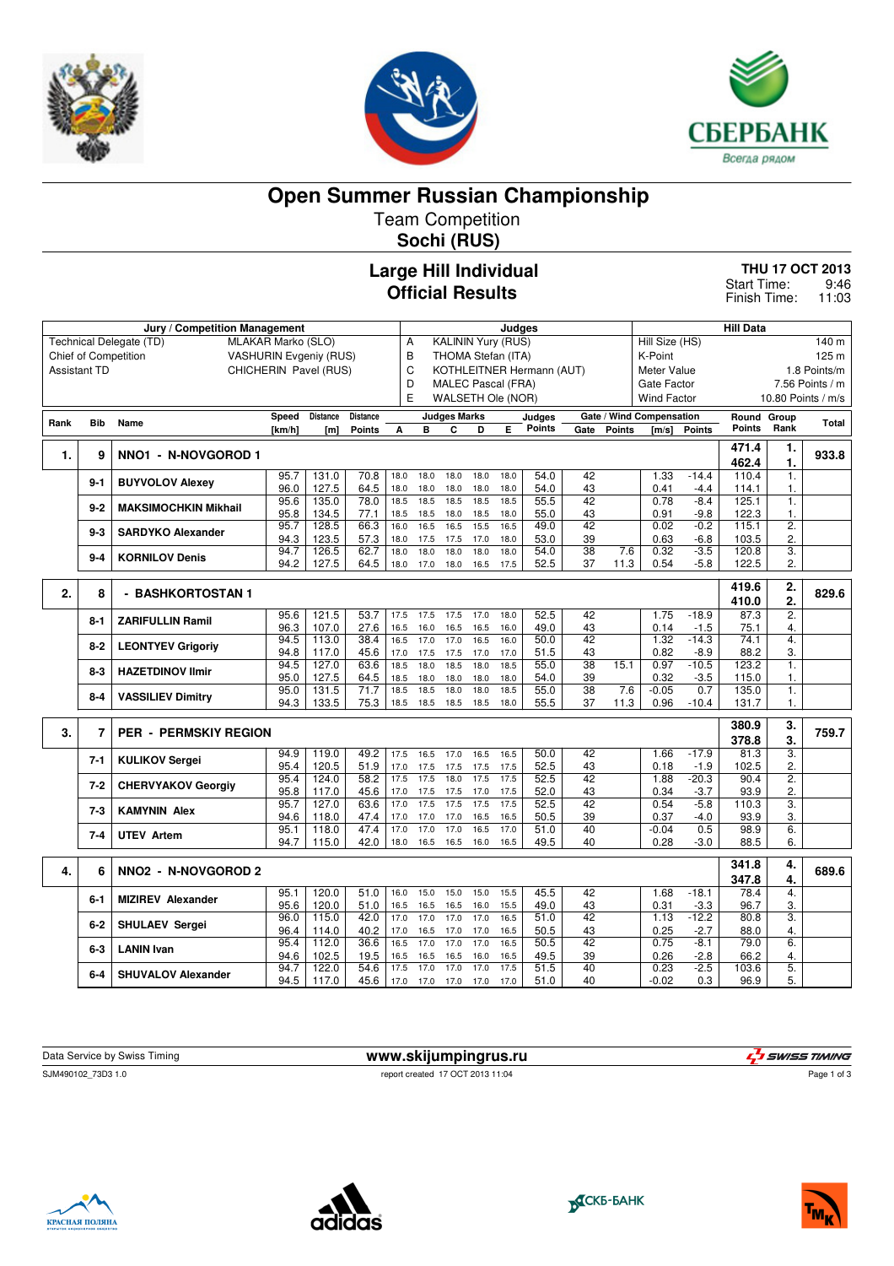





**Open Summer Russian Championship**

Team Competition

**Sochi (RUS)**

## **Large Hill Individual Official Results**

**THU 17 OCT 2013** 9:46 Start Time:

11:03 Finish Time:

|                     |            | Jury / Competition Management              |                               | Judges          |                 |              |                                |                           |              |              | <b>Hill Data</b> |                       |               |                             |                  |               |                  |                    |
|---------------------|------------|--------------------------------------------|-------------------------------|-----------------|-----------------|--------------|--------------------------------|---------------------------|--------------|--------------|------------------|-----------------------|---------------|-----------------------------|------------------|---------------|------------------|--------------------|
|                     |            | Technical Delegate (TD)                    | MLAKAR Marko (SLO)            |                 |                 | Α            |                                | <b>KALININ Yury (RUS)</b> |              |              |                  |                       |               | Hill Size (HS)              |                  |               |                  | 140 m              |
|                     |            | <b>Chief of Competition</b>                | <b>VASHURIN Evgeniy (RUS)</b> |                 |                 | В            |                                | THOMA Stefan (ITA)        |              |              |                  |                       |               | K-Point                     |                  |               |                  | 125 m              |
| <b>Assistant TD</b> |            |                                            | CHICHERIN Pavel (RUS)         |                 |                 |              | C<br>KOTHLEITNER Hermann (AUT) |                           |              |              |                  |                       |               | Meter Value<br>1.8 Points/m |                  |               |                  |                    |
|                     |            |                                            |                               |                 |                 |              | D<br><b>MALEC Pascal (FRA)</b> |                           |              |              |                  |                       |               | Gate Factor                 |                  |               |                  | 7.56 Points / m    |
|                     |            |                                            |                               |                 |                 | E            |                                | WALSETH Ole (NOR)         |              |              |                  |                       |               | <b>Wind Factor</b>          |                  |               |                  | 10.80 Points / m/s |
|                     |            |                                            | Speed                         | <b>Distance</b> | <b>Distance</b> |              |                                | <b>Judges Marks</b>       |              |              | Judges           |                       |               | Gate / Wind Compensation    |                  | Round Group   |                  |                    |
| Rank                | <b>Bib</b> | Name                                       | [km/h]                        | [ml]            | <b>Points</b>   | A            | в                              | C                         | D            | Е            | <b>Points</b>    | Gate                  | <b>Points</b> | [m/s]                       | <b>Points</b>    | <b>Points</b> | Rank             | <b>Total</b>       |
|                     |            |                                            |                               |                 |                 |              |                                |                           |              |              |                  |                       |               |                             |                  | 471.4         | 1.               |                    |
| 1.                  | 9          | NNO1 - N-NOVGOROD 1                        |                               |                 |                 |              |                                |                           |              |              |                  |                       |               |                             |                  | 462.4         | 1.               | 933.8              |
|                     |            |                                            | 95.7                          | 131.0           | 70.8            | 18.0         | 18.0                           | 18.0                      | 18.0         | 18.0         | 54.0             | 42                    |               | 1.33                        | $-14.4$          | 110.4         | 1.               |                    |
|                     | $9 - 1$    | <b>BUYVOLOV Alexey</b>                     | 96.0                          | 127.5           | 64.5            | 18.0         | 18.0                           | 18.0                      | 18.0         | 18.0         | 54.0             | 43                    |               | 0.41                        | $-4.4$           | 114.1         | $\mathbf{1}$ .   |                    |
|                     | $9 - 2$    | <b>MAKSIMOCHKIN Mikhail</b>                | 95.6                          | 135.0           | 78.0            | 18.5         | 18.5                           | 18.5                      | 18.5         | 18.5         | 55.5             | 42                    |               | 0.78                        | $-8.4$           | 125.1         | 1.               |                    |
|                     |            |                                            | 95.8                          | 134.5           | 77.1            | 18.5         | 18.5                           | 18.0                      | 18.5         | 18.0         | 55.0             | 43                    |               | 0.91                        | $-9.8$           | 122.3         | $\mathbf{1}$ .   |                    |
|                     | $9 - 3$    | <b>SARDYKO Alexander</b>                   | 95.7                          | 128.5           | 66.3            | 16.0         | 16.5                           | 16.5                      | 15.5         | 16.5         | 49.0             | 42                    |               | 0.02                        | $-0.2$           | 115.1         | $\overline{2}$ . |                    |
|                     |            |                                            | 94.3                          | 123.5           | 57.3            | 18.0         | 17.5                           | 17.5                      | 17.0         | 18.0         | 53.0             | 39                    |               | 0.63                        | $-6.8$           | 103.5         | 2.               |                    |
|                     | $9 - 4$    | <b>KORNILOV Denis</b>                      | 94.7                          | 126.5           | 62.7            | 18.0         | 18.0                           | 18.0                      | 18.0         | 18.0         | 54.0             | $\overline{38}$       | 7.6           | 0.32                        | $-3.5$           | 120.8         | $\overline{3}$ . |                    |
|                     |            |                                            | 94.2                          | 127.5           | 64.5            | 18.0         | 17.0                           | 18.0                      | 16.5         | 17.5         | 52.5             | 37                    | 11.3          | 0.54                        | $-5.8$           | 122.5         | $\overline{2}$ . |                    |
|                     |            |                                            |                               |                 |                 |              |                                |                           |              |              |                  |                       |               |                             |                  | 419.6         | 2.               |                    |
| 2.                  | 8          | - BASHKORTOSTAN 1                          |                               |                 |                 |              |                                |                           |              |              |                  |                       |               |                             |                  | 410.0         | 2.               | 829.6              |
|                     |            |                                            | 95.6                          | 121.5           | 53.7            | 17.5         | 17.5                           | 17.5                      | 17.0         | 18.0         | 52.5             | 42                    |               | 1.75                        | $-18.9$          | 87.3          | $\overline{2}$ . |                    |
|                     | 8-1        | <b>ZARIFULLIN Ramil</b>                    | 96.3                          | 107.0           | 27.6            | 16.5         | 16.0                           | 16.5                      | 16.5         | 16.0         | 49.0             | 43                    |               | 0.14                        | $-1.5$           | 75.1          | 4.               |                    |
|                     |            |                                            | 94.5                          | 113.0           | 38.4            | 16.5         | 17.0                           | 17.0                      | 16.5         | 16.0         | 50.0             | 42                    |               | 1.32                        | $-14.3$          | 74.1          | 4.               |                    |
|                     | $8 - 2$    | <b>LEONTYEV Grigoriy</b>                   | 94.8                          | 117.0           | 45.6            | 17.0         | 17.5                           | 17.5                      | 17.0         | 17.0         | 51.5             | 43                    |               | 0.82                        | $-8.9$           | 88.2          | 3.               |                    |
|                     | $8 - 3$    | <b>HAZETDINOV Ilmir</b>                    | 94.5                          | 127.0           | 63.6            | 18.5         | 18.0                           | 18.5                      | 18.0         | 18.5         | 55.0             | $\overline{38}$       | 15.1          | 0.97                        | $-10.5$          | 123.2         | $\mathbf{1}$ .   |                    |
|                     |            |                                            | 95.0                          | 127.5           | 64.5            | 18.5         | 18.0                           | 18.0                      | 18.0         | 18.0         | 54.0             | 39                    |               | 0.32                        | $-3.5$           | 115.0         | 1.               |                    |
|                     | 8-4        | <b>VASSILIEV Dimitry</b>                   | 95.0                          | 131.5           | 71.7            | 18.5         | 18.5                           | 18.0                      | 18.0         | 18.5         | 55.0             | 38                    | 7.6           | $-0.05$                     | 0.7              | 135.0         | 1.               |                    |
|                     |            |                                            | 94.3                          | 133.5           | 75.3            | 18.5         | 18.5                           | 18.5                      | 18.5         | 18.0         | 55.5             | 37                    | 11.3          | 0.96                        | $-10.4$          | 131.7         | $\mathbf{1}$ .   |                    |
|                     |            |                                            |                               |                 |                 |              |                                |                           |              |              |                  |                       |               |                             |                  | 380.9         | 3.               |                    |
| 3.                  | 7          | <b>PER - PERMSKIY REGION</b>               |                               |                 |                 |              |                                |                           |              |              |                  |                       |               |                             |                  | 378.8         | 3.               | 759.7              |
|                     |            |                                            | 94.9                          | 119.0           | 49.2            | 17.5         | 16.5                           | 17.0                      | 16.5         | 16.5         | 50.0             | 42                    |               | 1.66                        | $-17.9$          | 81.3          | $\overline{3}$ . |                    |
|                     | $7 - 1$    | <b>KULIKOV Sergei</b>                      | 95.4                          | 120.5           | 51.9            | 17.0         | 17.5                           | 17.5                      | 17.5         | 17.5         | 52.5             | 43                    |               | 0.18                        | $-1.9$           | 102.5         | 2.               |                    |
|                     | $7 - 2$    | <b>CHERVYAKOV Georgiy</b>                  | 95.4                          | 124.0           | 58.2            | 17.5         | 17.5                           | 18.0                      | 17.5         | 17.5         | 52.5             | $\overline{42}$       |               | 1.88                        | $-20.3$          | 90.4          | $\overline{2}$ . |                    |
|                     |            |                                            | 95.8                          | 117.0           | 45.6            | 17.0         | 17.5                           | 17.5                      | 17.0         | 17.5         | 52.0             | 43                    |               | 0.34                        | $-3.7$           | 93.9          | 2.               |                    |
|                     | $7-3$      | <b>KAMYNIN Alex</b>                        | 95.7                          | 127.0           | 63.6            | 17.0         | 17.5                           | 17.5                      | 17.5         | 17.5         | 52.5             | 42                    |               | 0.54                        | $-5.8$           | 110.3         | 3.               |                    |
|                     |            |                                            | 94.6                          | 118.0           | 47.4            | 17.0         | 17.0                           | 17.0                      | 16.5         | 16.5         | 50.5             | 39                    |               | 0.37                        | $-4.0$           | 93.9          | 3.               |                    |
|                     | $7 - 4$    | <b>UTEV Artem</b>                          | 95.1<br>94.7                  | 118.0<br>115.0  | 47.4<br>42.0    | 17.0<br>18.0 | 17.0<br>16.5                   | 17.0<br>16.5              | 16.5<br>16.0 | 17.0<br>16.5 | 51.0<br>49.5     | 40<br>40              |               | $-0.04$<br>0.28             | 0.5<br>$-3.0$    | 98.9<br>88.5  | 6.<br>6.         |                    |
|                     |            |                                            |                               |                 |                 |              |                                |                           |              |              |                  |                       |               |                             |                  |               |                  |                    |
|                     | 6          | NNO <sub>2</sub> - N-NOVGOROD <sub>2</sub> |                               |                 |                 |              |                                |                           |              |              |                  |                       |               |                             |                  | 341.8         | 4.               | 689.6              |
| 4.                  |            |                                            |                               |                 |                 |              |                                |                           |              |              |                  |                       |               |                             |                  | 347.8         | 4.               |                    |
|                     | $6 - 1$    | <b>MIZIREV Alexander</b>                   | 95.1                          | 120.0           | 51.0            | 16.0         | 15.0                           | 15.0                      | 15.0         | 15.5         | 45.5             | 42                    |               | 1.68                        | $-18.1$          | 78.4          | 4.               |                    |
|                     |            |                                            | 95.6                          | 120.0           | 51.0            | 16.5         | 16.5                           | 16.5                      | 16.0         | 15.5         | 49.0             | 43                    |               | 0.31                        | $-3.3$           | 96.7          | 3.               |                    |
|                     | $6 - 2$    | <b>SHULAEV Sergei</b>                      | 96.0                          | 115.0           | 42.0            | 17.0         | 17.0                           | 17.0                      | 17.0         | 16.5         | 51.0             | 42                    |               | 1.13                        | $-12.2$          | 80.8          | 3.               |                    |
|                     |            |                                            | 96.4                          | 114.0<br>112.0  | 40.2            | 17.0         | 16.5                           | 17.0                      | 17.0<br>17.0 | 16.5<br>16.5 | 50.5             | 43<br>$\overline{42}$ |               | 0.25<br>0.75                | $-2.7$<br>$-8.1$ | 88.0<br>79.0  | 4.<br>6.         |                    |
|                     | $6 - 3$    | <b>LANIN Ivan</b>                          | 95.4<br>94.6                  | 102.5           | 36.6<br>19.5    | 16.5<br>16.5 | 17.0<br>16.5                   | 17.0<br>16.5              | 16.0         | 16.5         | 50.5<br>49.5     | 39                    |               | 0.26                        | $-2.8$           | 66.2          | 4.               |                    |
|                     |            |                                            | 94.7                          | 122.0           | 54.6            | 17.5         | 17.0                           | 17.0                      | 17.0         | 17.5         | 51.5             | 40                    |               | 0.23                        | $-2.5$           | 103.6         | $\overline{5}$ . |                    |
|                     | $6-4$      | <b>SHUVALOV Alexander</b>                  | 94.5                          | 117.0           | 45.6            | 17.0         | 17.0                           | 17.0                      | 17.0         | 17.0         | 51.0             | 40                    |               | $-0.02$                     | 0.3              | 96.9          | 5.               |                    |

| Data Service by Swiss Timing | www.skijumpingrus.ru             | L'I SWISS TIMING |
|------------------------------|----------------------------------|------------------|
| SJM490102 73D3 1.0           | report created 17 OCT 2013 11:04 | Page 1 of 3      |
|                              |                                  |                  |







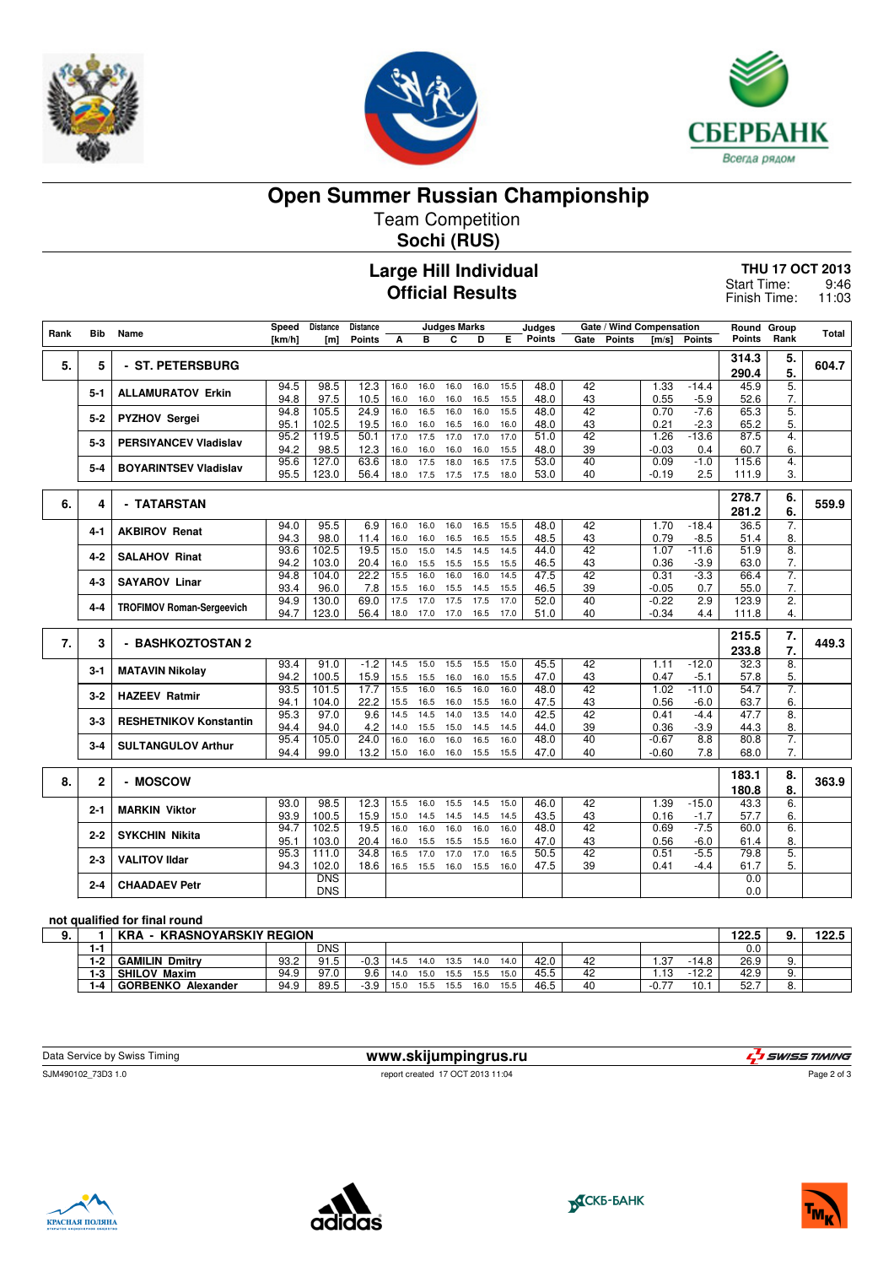





**Open Summer Russian Championship**

Team Competition **Sochi (RUS)**

**Large Hill Individual**

## **Official Results**

**THU 17 OCT 2013** 9:46 11:03 Start Time: Finish Time:

|      | Bib            |                                  | Speed        | <b>Distance</b>     | <b>Distance</b> |              |              | <b>Judges Marks</b> |              |              | Judges        |                 | Gate / Wind Compensation |                 |               | Round          | Group            |       |
|------|----------------|----------------------------------|--------------|---------------------|-----------------|--------------|--------------|---------------------|--------------|--------------|---------------|-----------------|--------------------------|-----------------|---------------|----------------|------------------|-------|
| Rank |                | Name                             | [km/h]       | [m]                 | <b>Points</b>   | A            | B            | C                   | D            | Е            | <b>Points</b> | Gate            | <b>Points</b>            | [m/s]           | <b>Points</b> | <b>Points</b>  | Rank             | Total |
| 5.   | 5              | - ST. PETERSBURG                 |              |                     |                 |              |              |                     |              |              |               |                 |                          |                 |               | 314.3<br>290.4 | 5.<br>5.         | 604.7 |
|      |                |                                  | 94.5         | 98.5                | 12.3            | 16.0         | 16.0         | 16.0                | 16.0         | 15.5         | 48.0          | 42              |                          | 1.33            | $-14.4$       | 45.9           | 5.               |       |
|      | $5 - 1$        | <b>ALLAMURATOV Erkin</b>         | 94.8         | 97.5                | 10.5            | 16.0         | 16.0         | 16.0                | 16.5         | 15.5         | 48.0          | 43              |                          | 0.55            | $-5.9$        | 52.6           | 7.               |       |
|      |                |                                  | 94.8         | 105.5               | 24.9            | 16.0         | 16.5         | 16.0                | 16.0         | 15.5         | 48.0          | 42              |                          | 0.70            | $-7.6$        | 65.3           | 5.               |       |
|      | 5-2            | <b>PYZHOV Sergei</b>             | 95.1         | 102.5               | 19.5            | 16.0         | 16.0         | 16.5                | 16.0         | 16.0         | 48.0          | 43              |                          | 0.21            | $-2.3$        | 65.2           | 5.               |       |
|      | $5-3$          | <b>PERSIYANCEV Vladislav</b>     | 95.2         | 119.5               | 50.1            | 17.0         | 17.5         | 17.0                | 17.0         | 17.0         | 51.0          | $\overline{42}$ |                          | 1.26            | $-13.6$       | 87.5           | $\overline{4}$ . |       |
|      |                |                                  | 94.2         | 98.5                | 12.3            | 16.0         | 16.0         | 16.0                | 16.0         | 15.5         | 48.0          | 39              |                          | $-0.03$         | 0.4           | 60.7           | 6.               |       |
|      | 5-4            | <b>BOYARINTSEV Vladislav</b>     | 95.6         | 127.0               | 63.6            | 18.0         | 17.5         | 18.0                | 16.5         | 17.5         | 53.0          | 40              |                          | 0.09            | $-1.0$        | 115.6          | 4.               |       |
|      |                |                                  | 95.5         | 123.0               | 56.4            | 18.0         | 17.5         | 17.5                | 17.5         | 18.0         | 53.0          | 40              |                          | $-0.19$         | 2.5           | 111.9          | 3.               |       |
| 6.   | 4              | - TATARSTAN                      |              |                     |                 |              |              |                     |              |              |               |                 |                          |                 |               | 278.7<br>281.2 | 6.<br>6.         | 559.9 |
|      |                |                                  | 94.0         | 95.5                | 6.9             | 16.0         | 16.0         | 16.0                | 16.5         | 15.5         | 48.0          | 42              |                          | 1.70            | $-18.4$       | 36.5           | 7.               |       |
|      | 4-1            | <b>AKBIROV Renat</b>             | 94.3         | 98.0                | 11.4            | 16.0         | 16.0         | 16.5                | 16.5         | 15.5         | 48.5          | 43              |                          | 0.79            | $-8.5$        | 51.4           | 8.               |       |
|      | $4 - 2$        | <b>SALAHOV Rinat</b>             | 93.6         | 102.5               | 19.5            | 15.0         | 15.0         | 14.5                | 14.5         | 14.5         | 44.0          | $\overline{42}$ |                          | 1.07            | $-11.6$       | 51.9           | 8.               |       |
|      |                |                                  | 94.2         | 103.0               | 20.4            | 16.0         | 15.5         | 15.5                | 15.5         | 15.5         | 46.5          | 43              |                          | 0.36            | $-3.9$        | 63.0           | 7.               |       |
|      | $4 - 3$        | <b>SAYAROV Linar</b>             | 94.8         | 104.0               | 22.2            | 15.5         | 16.0         | 16.0                | 16.0         | 14.5         | 47.5          | 42              |                          | 0.31            | $-3.3$        | 66.4           | $\overline{7}$ . |       |
|      |                |                                  | 93.4         | 96.0                | 7.8             | 15.5         | 16.0         | 15.5                | 14.5         | 15.5         | 46.5          | 39              |                          | $-0.05$         | 0.7           | 55.0           | 7.               |       |
|      | 4-4            | <b>TROFIMOV Roman-Sergeevich</b> | 94.9         | 130.0               | 69.0            | 17.5         | 17.0         | 17.5                | 17.5         | 17.0         | 52.0          | 40              |                          | $-0.22$         | 2.9           | 123.9          | $\overline{2}$ . |       |
|      |                |                                  | 94.7         | 123.0               | 56.4            | 18.0         | 17.0         | 17.0                | 16.5         | 17.0         | 51.0          | 40              |                          | $-0.34$         | 4.4           | 111.8          | 4.               |       |
|      |                |                                  |              |                     |                 |              |              |                     |              |              |               |                 |                          |                 |               | 215.5          | 7.               |       |
| 7.   | 3              | - BASHKOZTOSTAN 2                |              |                     |                 |              |              |                     |              |              |               |                 |                          |                 |               | 233.8          | 7.               | 449.3 |
|      |                |                                  | 93.4         | 91.0                | $-1.2$          | 14.5         | 15.0         | 15.5                | 15.5         | 15.0         | 45.5          | 42              |                          | 1.11            | $-12.0$       | 32.3           | $\overline{8}$ . |       |
|      | 3-1            | <b>MATAVIN Nikolay</b>           | 94.2         | 100.5               | 15.9            | 15.5         | 15.5         | 16.0                | 16.0         | 15.5         | 47.0          | 43              |                          | 0.47            | $-5.1$        | 57.8           | 5.               |       |
|      | $3-2$          | <b>HAZEEV Ratmir</b>             | 93.5         | 101.5               | 17.7            | 15.5         | 16.0         | 16.5                | 16.0         | 16.0         | 48.0          | 42              |                          | 1.02            | $-11.0$       | 54.7           | $\overline{7}$ . |       |
|      |                |                                  | 94.1         | 104.0               | 22.2            | 15.5         | 16.5         | 16.0                | 15.5         | 16.0         | 47.5          | 43              |                          | 0.56            | $-6.0$        | 63.7           | 6.               |       |
|      | $3-3$          | <b>RESHETNIKOV Konstantin</b>    | 95.3         | 97.0                | 9.6             | 14.5         | 14.5         | 14.0                | 13.5         | 14.0         | 42.5          | 42              |                          | 0.41            | $-4.4$        | 47.7           | 8.               |       |
|      |                |                                  | 94.4<br>95.4 | 94.0<br>105.0       | 4.2<br>24.0     | 14.0<br>16.0 | 15.5<br>16.0 | 15.0<br>16.0        | 14.5<br>16.5 | 14.5<br>16.0 | 44.0<br>48.0  | 39<br>40        |                          | 0.36<br>$-0.67$ | $-3.9$<br>8.8 | 44.3<br>80.8   | 8.<br>7.         |       |
|      | $3 - 4$        | <b>SULTANGULOV Arthur</b>        | 94.4         | 99.0                | 13.2            | 15.0         | 16.0         | 16.0                | 15.5         | 15.5         | 47.0          | 40              |                          | $-0.60$         | 7.8           | 68.0           | 7.               |       |
|      |                |                                  |              |                     |                 |              |              |                     |              |              |               |                 |                          |                 |               |                |                  |       |
| 8.   |                | - MOSCOW                         |              |                     |                 |              |              |                     |              |              |               |                 |                          |                 |               | 183.1          | 8.               | 363.9 |
|      | $\overline{2}$ |                                  |              |                     |                 |              |              |                     |              |              |               |                 |                          |                 |               | 180.8          | 8.               |       |
|      |                | <b>MARKIN Viktor</b>             | 93.0         | 98.5                | 12.3            | 15.5         | 16.0         | 15.5                | 14.5         | 15.0         | 46.0          | 42              |                          | 1.39            | $-15.0$       | 43.3           | 6.               |       |
|      | $2 - 1$        |                                  | 93.9         | 100.5               | 15.9            | 15.0         | 14.5         | 14.5                | 14.5         | 14.5         | 43.5          | 43              |                          | 0.16            | $-1.7$        | 57.7           | 6.               |       |
|      | $2 - 2$        | <b>SYKCHIN Nikita</b>            | 94.7         | 102.5               | 19.5            | 16.0         | 16.0         | 16.0                | 16.0         | 16.0         | 48.0          | $\overline{42}$ |                          | 0.69            | $-7.5$        | 60.0           | 6.               |       |
|      |                |                                  | 95.1         | 103.0               | 20.4            | 16.0         | 15.5         | 15.5                | 15.5         | 16.0         | 47.0          | 43              |                          | 0.56            | $-6.0$        | 61.4           | 8.               |       |
|      | $2 - 3$        | <b>VALITOV IIdar</b>             | 95.3         | 111.0               | 34.8            | 16.5         | 17.0         | 17.0                | 17.0         | 16.5         | 50.5          | 42              |                          | 0.51            | $-5.5$        | 79.8           | 5.               |       |
|      |                |                                  | 94.3         | 102.0<br><b>DNS</b> | 18.6            | 16.5         | 15.5         | 16.0                | 15.5         | 16.0         | 47.5          | 39              |                          | 0.41            | $-4.4$        | 61.7<br>0.0    | 5.               |       |
|      | $2 - 4$        | <b>CHAADAEV Petr</b>             |              | <b>DNS</b>          |                 |              |              |                     |              |              |               |                 |                          |                 |               | 0.0            |                  |       |
|      |                |                                  |              |                     |                 |              |              |                     |              |              |               |                 |                          |                 |               |                |                  |       |

## **not qualified for final round**

| 9. |         | <b>KRA</b><br><b>KRASNOYARSKIY REGION</b> |      |      |      |      |      |      |      |      |      |    | 122.5      | v.      | 199 ち<br>166.J |  |  |
|----|---------|-------------------------------------------|------|------|------|------|------|------|------|------|------|----|------------|---------|----------------|--|--|
|    | - 1 - 1 |                                           |      | DNS  |      |      |      |      |      |      |      |    |            |         | 0.0            |  |  |
|    | $1-2$   | <b>GAMILIN Dmitry</b>                     | 93.2 | 91.5 | -0.3 | 14.5 | 14.0 | 13.5 | 14.0 | 14.0 | 42.0 | 42 | -37        | $-14.8$ | 26.9           |  |  |
|    | $1-3$   | <b>SHILOV Maxim</b>                       | 94.9 | 97.0 | 9.6  | 14.0 | 15.0 | 15.5 | 15.5 | 15.0 | 45.5 | 42 | .13        | $-12.2$ | 42.9           |  |  |
|    | 1.4     | <b>GORBENKO</b><br>Alexander              | 94.9 | 89.5 | -3.9 | 15.0 | 15.5 | 15.5 | 16.0 | 15.5 | 46.5 | 40 | $-0.7^{-}$ | 10.     | 52.7           |  |  |

| Data Service by Swiss Timing | www.skijumpingrus.ru             | L'I SWISS TIMING |
|------------------------------|----------------------------------|------------------|
| SJM490102 73D3 1.0           | report created 17 OCT 2013 11:04 | Page 2 of 3      |
|                              |                                  |                  |